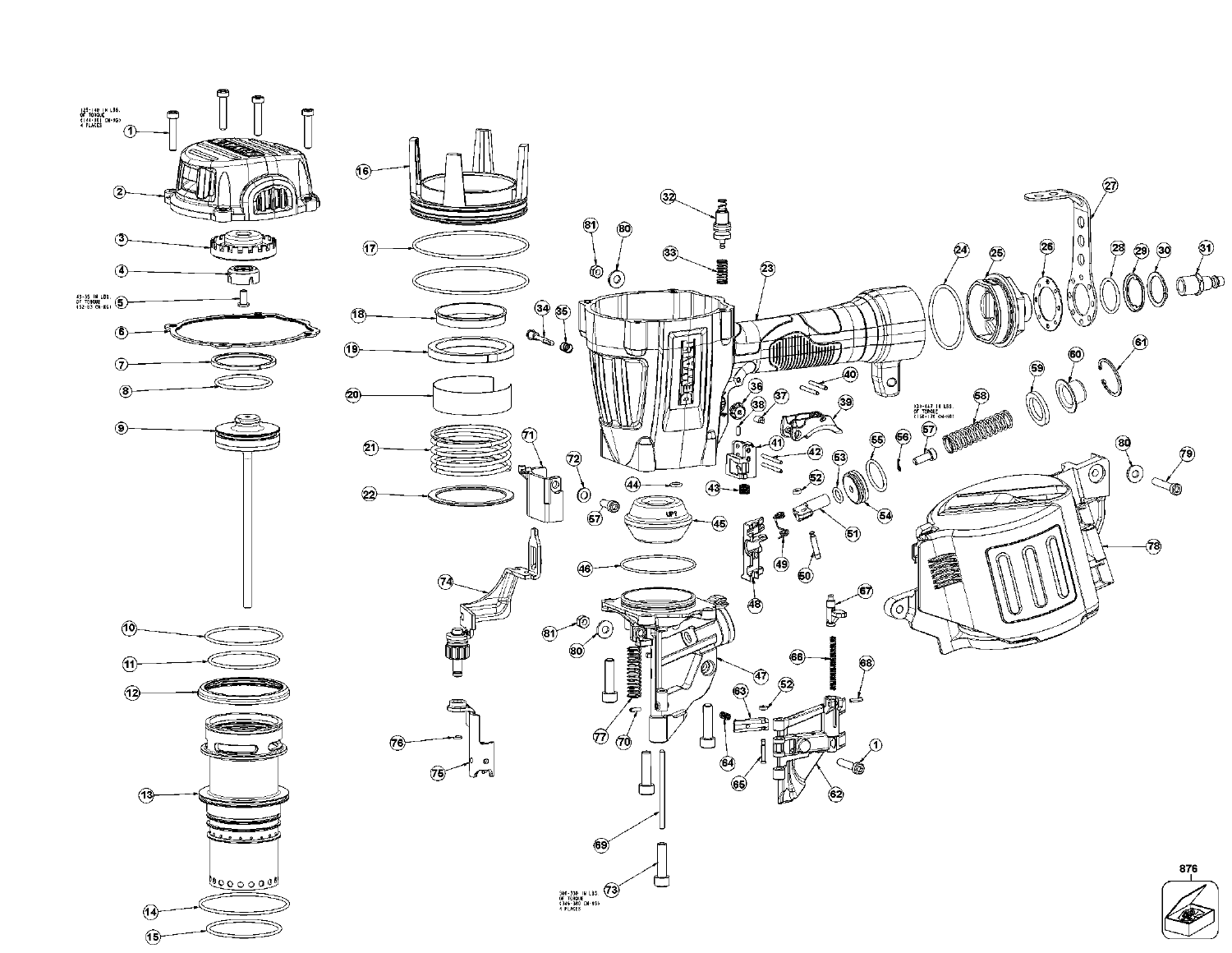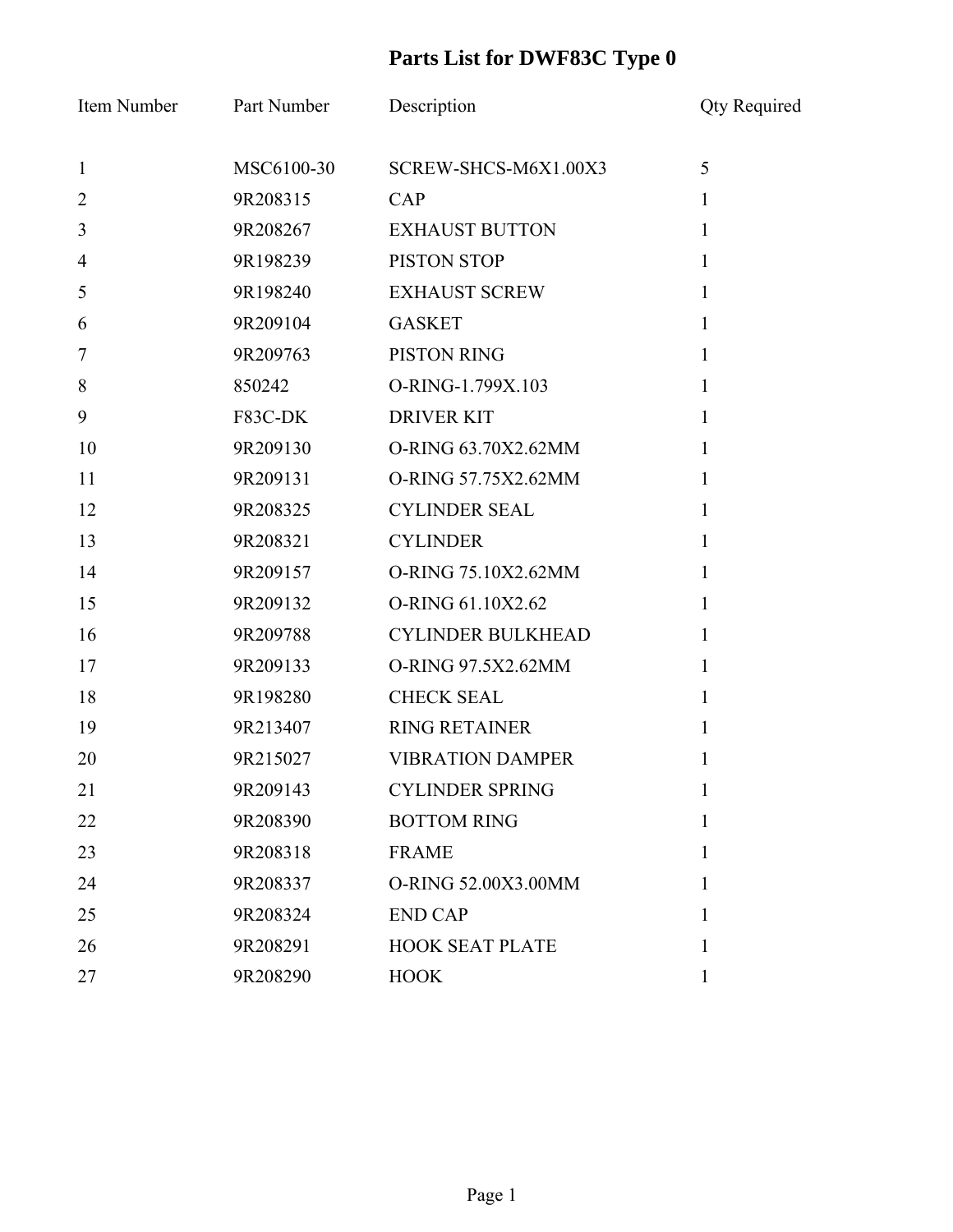| Item Number      | Part Number | Description              | <b>Qty Required</b> |
|------------------|-------------|--------------------------|---------------------|
| $\mathbf{1}$     | MSC6100-30  | SCREW-SHCS-M6X1.00X3     | 5                   |
| $\overline{2}$   | 9R208315    | CAP                      | $\mathbf{1}$        |
| $\overline{3}$   | 9R208267    | <b>EXHAUST BUTTON</b>    | $\mathbf{1}$        |
| $\overline{4}$   | 9R198239    | PISTON STOP              | $\mathbf{1}$        |
| 5                | 9R198240    | <b>EXHAUST SCREW</b>     | $\mathbf{1}$        |
| 6                | 9R209104    | <b>GASKET</b>            | 1                   |
| $\boldsymbol{7}$ | 9R209763    | PISTON RING              | $\mathbf{1}$        |
| 8                | 850242      | O-RING-1.799X.103        | $\mathbf{1}$        |
| 9                | F83C-DK     | <b>DRIVER KIT</b>        | 1                   |
| 10               | 9R209130    | O-RING 63.70X2.62MM      | 1                   |
| 11               | 9R209131    | O-RING 57.75X2.62MM      | $\mathbf{1}$        |
| 12               | 9R208325    | <b>CYLINDER SEAL</b>     | $\mathbf{1}$        |
| 13               | 9R208321    | <b>CYLINDER</b>          | 1                   |
| 14               | 9R209157    | O-RING 75.10X2.62MM      | 1                   |
| 15               | 9R209132    | O-RING 61.10X2.62        | 1                   |
| 16               | 9R209788    | <b>CYLINDER BULKHEAD</b> | 1                   |
| 17               | 9R209133    | O-RING 97.5X2.62MM       | $\mathbf{1}$        |
| 18               | 9R198280    | <b>CHECK SEAL</b>        | $\mathbf{1}$        |
| 19               | 9R213407    | <b>RING RETAINER</b>     | 1                   |
| 20               | 9R215027    | <b>VIBRATION DAMPER</b>  | 1                   |
| 21               | 9R209143    | <b>CYLINDER SPRING</b>   |                     |
| 22               | 9R208390    | <b>BOTTOM RING</b>       | 1                   |
| 23               | 9R208318    | <b>FRAME</b>             | 1                   |
| 24               | 9R208337    | O-RING 52.00X3.00MM      | 1                   |
| 25               | 9R208324    | <b>END CAP</b>           | 1                   |
| 26               | 9R208291    | <b>HOOK SEAT PLATE</b>   | 1                   |
| 27               | 9R208290    | <b>HOOK</b>              | 1                   |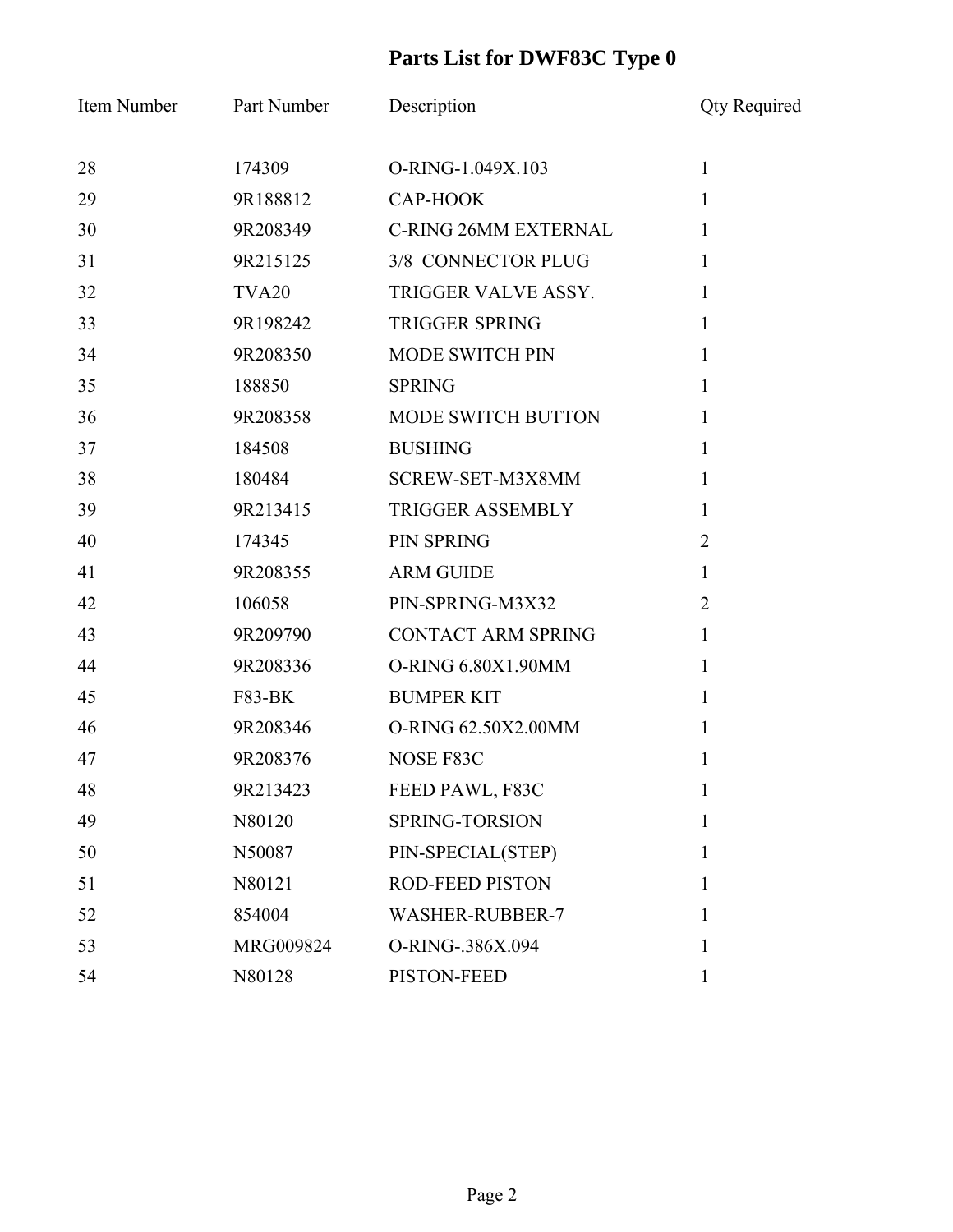| Item Number | Part Number       | Description                 | <b>Qty Required</b> |
|-------------|-------------------|-----------------------------|---------------------|
| 28          | 174309            | O-RING-1.049X.103           | $\mathbf{1}$        |
| 29          | 9R188812          | CAP-HOOK                    | $\mathbf{1}$        |
| 30          | 9R208349          | <b>C-RING 26MM EXTERNAL</b> | $\mathbf{1}$        |
| 31          | 9R215125          | 3/8 CONNECTOR PLUG          | 1                   |
| 32          | TVA <sub>20</sub> | TRIGGER VALVE ASSY.         | $\mathbf{1}$        |
| 33          | 9R198242          | <b>TRIGGER SPRING</b>       | 1                   |
| 34          | 9R208350          | <b>MODE SWITCH PIN</b>      | $\mathbf{1}$        |
| 35          | 188850            | <b>SPRING</b>               | $\mathbf{1}$        |
| 36          | 9R208358          | MODE SWITCH BUTTON          | 1                   |
| 37          | 184508            | <b>BUSHING</b>              | 1                   |
| 38          | 180484            | SCREW-SET-M3X8MM            | $\mathbf{1}$        |
| 39          | 9R213415          | <b>TRIGGER ASSEMBLY</b>     | $\mathbf{1}$        |
| 40          | 174345            | <b>PIN SPRING</b>           | $\overline{2}$      |
| 41          | 9R208355          | <b>ARM GUIDE</b>            | $\mathbf{1}$        |
| 42          | 106058            | PIN-SPRING-M3X32            | $\overline{2}$      |
| 43          | 9R209790          | <b>CONTACT ARM SPRING</b>   | $\mathbf{1}$        |
| 44          | 9R208336          | O-RING 6.80X1.90MM          | $\mathbf{1}$        |
| 45          | <b>F83-BK</b>     | <b>BUMPER KIT</b>           | 1                   |
| 46          | 9R208346          | O-RING 62.50X2.00MM         | 1                   |
| 47          | 9R208376          | NOSE F83C                   | 1                   |
| 48          | 9R213423          | FEED PAWL, F83C             | $\mathbf{1}$        |
| 49          | N80120            | SPRING-TORSION              | $\mathbf{1}$        |
| 50          | N50087            | PIN-SPECIAL(STEP)           | $\mathbf{1}$        |
| 51          | N80121            | <b>ROD-FEED PISTON</b>      | $\mathbf{1}$        |
| 52          | 854004            | <b>WASHER-RUBBER-7</b>      | 1                   |
| 53          | MRG009824         | O-RING-.386X.094            | 1                   |
| 54          | N80128            | PISTON-FEED                 | $\mathbf{1}$        |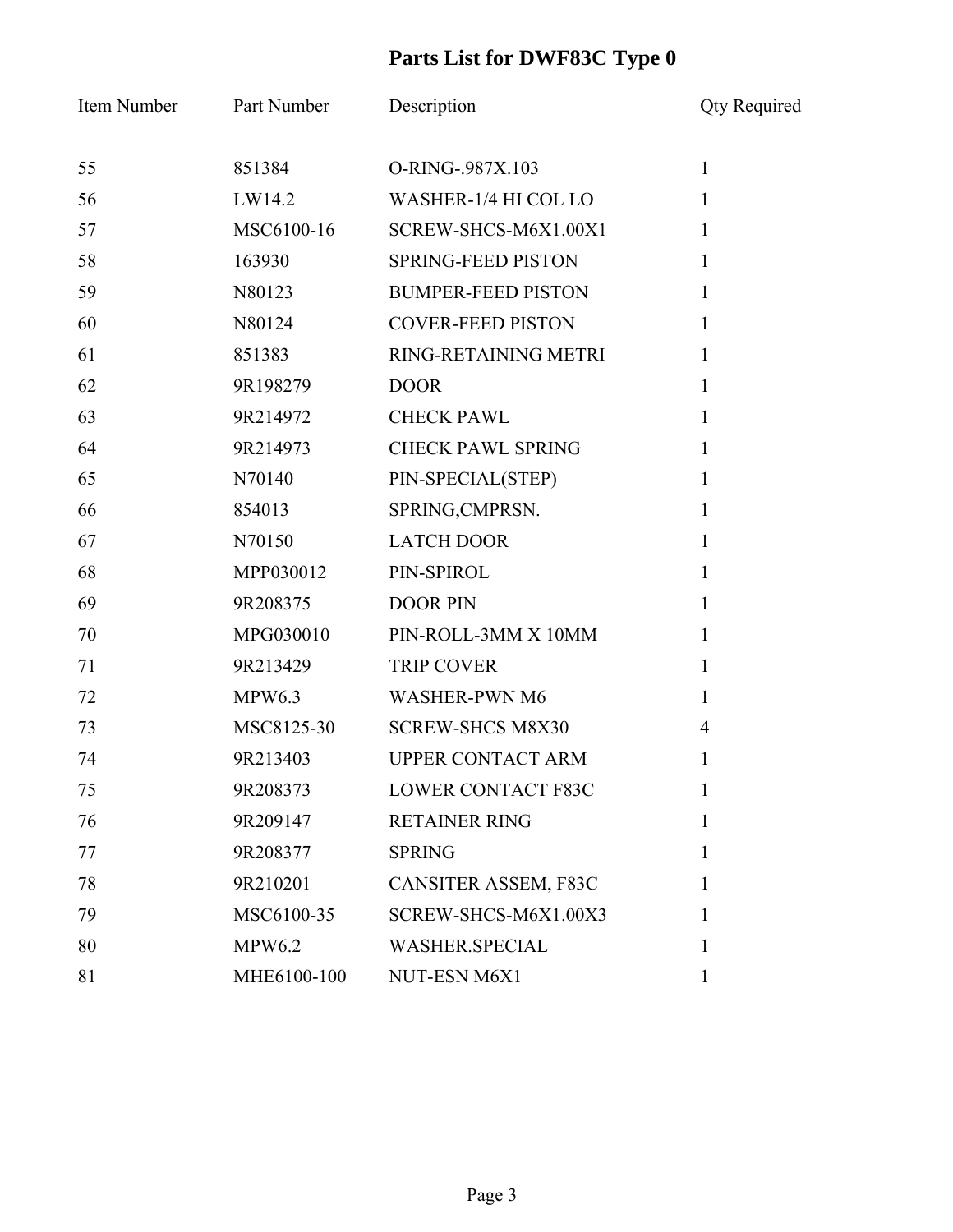| Item Number | Part Number   | Description               | <b>Qty Required</b> |
|-------------|---------------|---------------------------|---------------------|
| 55          | 851384        | O-RING-.987X.103          | $\mathbf{1}$        |
| 56          | LW14.2        | WASHER-1/4 HI COL LO      | $\mathbf{1}$        |
| 57          | MSC6100-16    | SCREW-SHCS-M6X1.00X1      | $\mathbf{1}$        |
| 58          | 163930        | <b>SPRING-FEED PISTON</b> | $\mathbf{1}$        |
| 59          | N80123        | <b>BUMPER-FEED PISTON</b> | 1                   |
| 60          | N80124        | <b>COVER-FEED PISTON</b>  | $\mathbf{1}$        |
| 61          | 851383        | RING-RETAINING METRI      | $\mathbf{1}$        |
| 62          | 9R198279      | <b>DOOR</b>               | $\mathbf{1}$        |
| 63          | 9R214972      | <b>CHECK PAWL</b>         | $\mathbf{1}$        |
| 64          | 9R214973      | <b>CHECK PAWL SPRING</b>  | $\mathbf{1}$        |
| 65          | N70140        | PIN-SPECIAL(STEP)         | $\mathbf{1}$        |
| 66          | 854013        | SPRING, CMPRSN.           | $\mathbf{1}$        |
| 67          | N70150        | <b>LATCH DOOR</b>         | $\mathbf{1}$        |
| 68          | MPP030012     | PIN-SPIROL                | $\mathbf{1}$        |
| 69          | 9R208375      | <b>DOOR PIN</b>           | $\mathbf{1}$        |
| 70          | MPG030010     | PIN-ROLL-3MM X 10MM       | $\mathbf{1}$        |
| 71          | 9R213429      | <b>TRIP COVER</b>         | $\mathbf{1}$        |
| 72          | MPW6.3        | <b>WASHER-PWN M6</b>      | $\mathbf{1}$        |
| 73          | MSC8125-30    | <b>SCREW-SHCS M8X30</b>   | $\overline{4}$      |
| 74          | 9R213403      | <b>UPPER CONTACT ARM</b>  | 1                   |
| 75          | 9R208373      | <b>LOWER CONTACT F83C</b> | 1                   |
| 76          | 9R209147      | <b>RETAINER RING</b>      | 1                   |
| 77          | 9R208377      | <b>SPRING</b>             | 1                   |
| 78          | 9R210201      | CANSITER ASSEM, F83C      | 1                   |
| 79          | MSC6100-35    | SCREW-SHCS-M6X1.00X3      | 1                   |
| 80          | <b>MPW6.2</b> | <b>WASHER.SPECIAL</b>     | 1                   |
| 81          | MHE6100-100   | NUT-ESN M6X1              | 1                   |